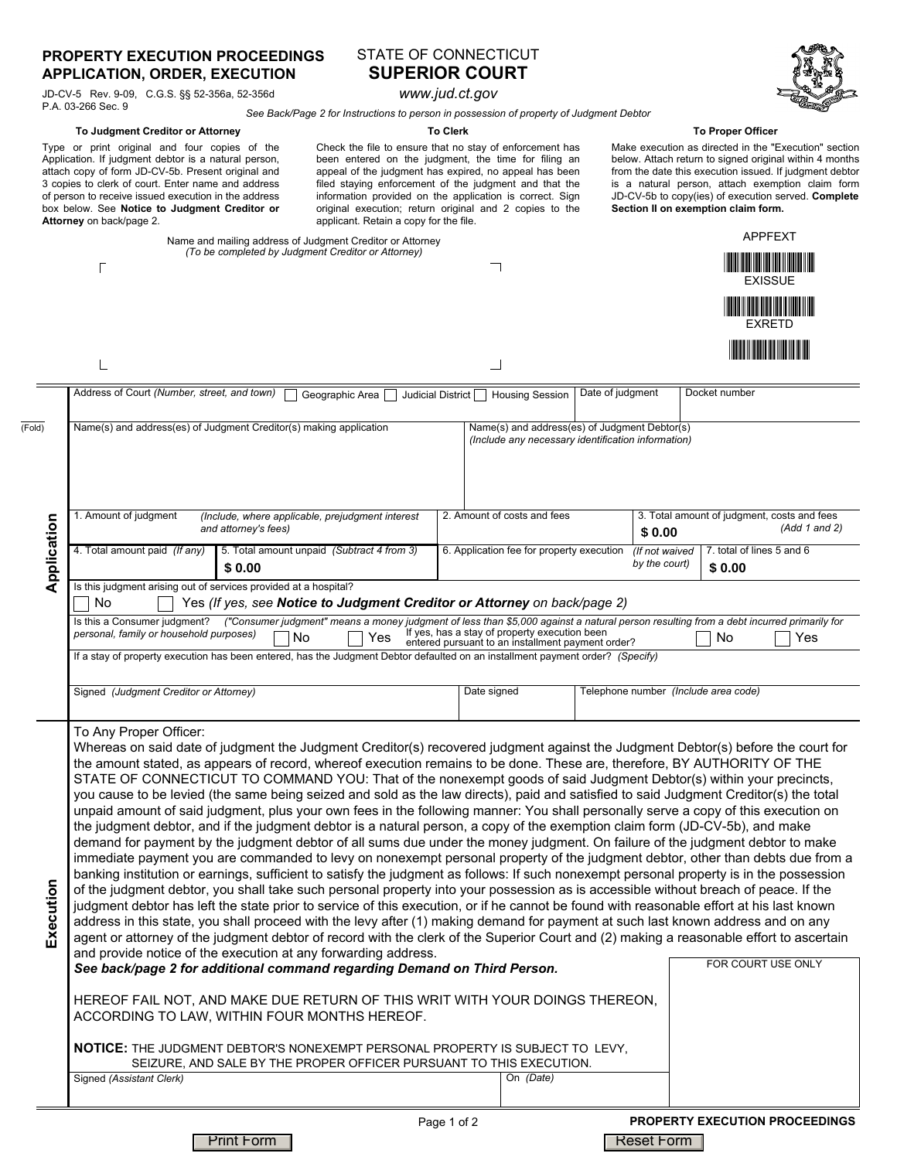### **PROPERTY EXECUTION PROCEEDINGS APPLICATION, ORDER, EXECUTION**

JD-CV-5 Rev. 9-09, C.G.S. §§ 52-356a, 52-356d P.A. 03-266 Sec. 9

# STATE OF CONNECTICUT **SUPERIOR COURT**

*www.jud.ct.gov*

*See Back/Page 2 for Instructions to person in possession of property of Judgment Debtor*

#### Make execution as directed in the "Execution" section below. Attach return to signed original within 4 months **To Clerk To Proper Officer**

from the date this execution issued. If judgment debtor is a natural person, attach exemption claim form JD-CV-5b to copy(ies) of execution served. **Complete**

**Section II on exemption claim form.**

Type or print original and four copies of the Application. If judgment debtor is a natural person, attach copy of form JD-CV-5b. Present original and 3 copies to clerk of court. Enter name and address of person to receive issued execution in the address box below. See **Notice to Judgment Creditor or Attorney** on back/page 2. **To Judgment Creditor or Attorney**

Check the file to ensure that no stay of enforcement has been entered on the judgment, the time for filing an appeal of the judgment has expired, no appeal has been filed staying enforcement of the judgment and that the information provided on the application is correct. Sign original execution; return original and 2 copies to the  $\cos(4\pi t)$ 

| <b>APPFEXT</b><br>Name and mailing address of Judgment Creditor or Attorney<br>(To be completed by Judgment Creditor or Attorney)<br><u> Indian Maria III a Bhai</u><br><b>EXISSUE</b><br><u> Harry Harry Harry Harry Harry Harry Harry Harry Harry Harry Harry Harry Harry Harry Harry Harry Harry Harry H</u><br><b>EXRETD</b><br><u> III Martin Martin III Martin </u><br>Address of Court (Number, street, and town)<br>Date of judgment<br>Docket number<br>Geographic Area<br>Judicial District<br><b>Housing Session</b><br>Name(s) and address(es) of Judgment Creditor(s) making application<br>Name(s) and address(es) of Judgment Debtor(s)<br>(Include any necessary identification information)<br>2. Amount of costs and fees<br>3. Total amount of judgment, costs and fees<br>1. Amount of judgment<br>(Include, where applicable, prejudgment interest<br>Application<br>(Add 1 and 2)<br>and attorney's fees)<br>\$0.00<br>4. Total amount paid (If any)<br>5. Total amount unpaid (Subtract 4 from 3)<br>7. total of lines 5 and 6<br>6. Application fee for property execution<br>(If not waived<br>by the court)<br>\$0.00<br>\$0.00<br>Is this judgment arising out of services provided at a hospital?<br>Yes (If yes, see Notice to Judgment Creditor or Attorney on back/page 2)<br>No<br>Is this a Consumer judgment?<br>("Consumer judgment" means a money judgment of less than \$5,000 against a natural person resulting from a debt incurred primarily for<br>If yes, has a stay of property execution been<br>personal, family or household purposes)<br>No<br>Yes<br>No<br>Yes<br>entered pursuant to an installment payment order?<br>If a stay of property execution has been entered, has the Judgment Debtor defaulted on an installment payment order? (Specify)<br>Date signed<br>Telephone number (Include area code)<br>Signed (Judgment Creditor or Attorney)<br>To Any Proper Officer:<br>Whereas on said date of judgment the Judgment Creditor(s) recovered judgment against the Judgment Debtor(s) before the court for<br>the amount stated, as appears of record, whereof execution remains to be done. These are, therefore, BY AUTHORITY OF THE<br>STATE OF CONNECTICUT TO COMMAND YOU: That of the nonexempt goods of said Judgment Debtor(s) within your precincts,<br>you cause to be levied (the same being seized and sold as the law directs), paid and satisfied to said Judgment Creditor(s) the total<br>unpaid amount of said judgment, plus your own fees in the following manner: You shall personally serve a copy of this execution on<br>the judgment debtor, and if the judgment debtor is a natural person, a copy of the exemption claim form (JD-CV-5b), and make<br>demand for payment by the judgment debtor of all sums due under the money judgment. On failure of the judgment debtor to make<br>immediate payment you are commanded to levy on nonexempt personal property of the judgment debtor, other than debts due from a<br>banking institution or earnings, sufficient to satisfy the judgment as follows: If such nonexempt personal property is in the possession<br>Execution<br>of the judgment debtor, you shall take such personal property into your possession as is accessible without breach of peace. If the<br>judgment debtor has left the state prior to service of this execution, or if he cannot be found with reasonable effort at his last known<br>address in this state, you shall proceed with the levy after (1) making demand for payment at such last known address and on any<br>agent or attorney of the judgment debtor of record with the clerk of the Superior Court and (2) making a reasonable effort to ascertain<br>and provide notice of the execution at any forwarding address.<br>FOR COURT USE ONLY<br>See back/page 2 for additional command regarding Demand on Third Person.<br>HEREOF FAIL NOT, AND MAKE DUE RETURN OF THIS WRIT WITH YOUR DOINGS THEREON,<br>ACCORDING TO LAW, WITHIN FOUR MONTHS HEREOF.<br><b>NOTICE:</b> THE JUDGMENT DEBTOR'S NONEXEMPT PERSONAL PROPERTY IS SUBJECT TO LEVY,<br>SEIZURE, AND SALE BY THE PROPER OFFICER PURSUANT TO THIS EXECUTION.<br>On (Date)<br>Signed (Assistant Clerk) |        | Alloniej on back/page z.<br>applicatii. Retaili a copy for the file. |  |  |  |  |
|-------------------------------------------------------------------------------------------------------------------------------------------------------------------------------------------------------------------------------------------------------------------------------------------------------------------------------------------------------------------------------------------------------------------------------------------------------------------------------------------------------------------------------------------------------------------------------------------------------------------------------------------------------------------------------------------------------------------------------------------------------------------------------------------------------------------------------------------------------------------------------------------------------------------------------------------------------------------------------------------------------------------------------------------------------------------------------------------------------------------------------------------------------------------------------------------------------------------------------------------------------------------------------------------------------------------------------------------------------------------------------------------------------------------------------------------------------------------------------------------------------------------------------------------------------------------------------------------------------------------------------------------------------------------------------------------------------------------------------------------------------------------------------------------------------------------------------------------------------------------------------------------------------------------------------------------------------------------------------------------------------------------------------------------------------------------------------------------------------------------------------------------------------------------------------------------------------------------------------------------------------------------------------------------------------------------------------------------------------------------------------------------------------------------------------------------------------------------------------------------------------------------------------------------------------------------------------------------------------------------------------------------------------------------------------------------------------------------------------------------------------------------------------------------------------------------------------------------------------------------------------------------------------------------------------------------------------------------------------------------------------------------------------------------------------------------------------------------------------------------------------------------------------------------------------------------------------------------------------------------------------------------------------------------------------------------------------------------------------------------------------------------------------------------------------------------------------------------------------------------------------------------------------------------------------------------------------------------------------------------------------------------------------------------------------------------------------------------------------------------------------------------------------------------------------------------------------------------------------------------------------------------------------------------------------------------------------------------------------------------------------------------------------------------------------------------------------------------------------------------------------------------------------------------------------------------------------------------------------------------------|--------|----------------------------------------------------------------------|--|--|--|--|
|                                                                                                                                                                                                                                                                                                                                                                                                                                                                                                                                                                                                                                                                                                                                                                                                                                                                                                                                                                                                                                                                                                                                                                                                                                                                                                                                                                                                                                                                                                                                                                                                                                                                                                                                                                                                                                                                                                                                                                                                                                                                                                                                                                                                                                                                                                                                                                                                                                                                                                                                                                                                                                                                                                                                                                                                                                                                                                                                                                                                                                                                                                                                                                                                                                                                                                                                                                                                                                                                                                                                                                                                                                                                                                                                                                                                                                                                                                                                                                                                                                                                                                                                                                                                                                                 |        |                                                                      |  |  |  |  |
|                                                                                                                                                                                                                                                                                                                                                                                                                                                                                                                                                                                                                                                                                                                                                                                                                                                                                                                                                                                                                                                                                                                                                                                                                                                                                                                                                                                                                                                                                                                                                                                                                                                                                                                                                                                                                                                                                                                                                                                                                                                                                                                                                                                                                                                                                                                                                                                                                                                                                                                                                                                                                                                                                                                                                                                                                                                                                                                                                                                                                                                                                                                                                                                                                                                                                                                                                                                                                                                                                                                                                                                                                                                                                                                                                                                                                                                                                                                                                                                                                                                                                                                                                                                                                                                 |        |                                                                      |  |  |  |  |
|                                                                                                                                                                                                                                                                                                                                                                                                                                                                                                                                                                                                                                                                                                                                                                                                                                                                                                                                                                                                                                                                                                                                                                                                                                                                                                                                                                                                                                                                                                                                                                                                                                                                                                                                                                                                                                                                                                                                                                                                                                                                                                                                                                                                                                                                                                                                                                                                                                                                                                                                                                                                                                                                                                                                                                                                                                                                                                                                                                                                                                                                                                                                                                                                                                                                                                                                                                                                                                                                                                                                                                                                                                                                                                                                                                                                                                                                                                                                                                                                                                                                                                                                                                                                                                                 |        |                                                                      |  |  |  |  |
|                                                                                                                                                                                                                                                                                                                                                                                                                                                                                                                                                                                                                                                                                                                                                                                                                                                                                                                                                                                                                                                                                                                                                                                                                                                                                                                                                                                                                                                                                                                                                                                                                                                                                                                                                                                                                                                                                                                                                                                                                                                                                                                                                                                                                                                                                                                                                                                                                                                                                                                                                                                                                                                                                                                                                                                                                                                                                                                                                                                                                                                                                                                                                                                                                                                                                                                                                                                                                                                                                                                                                                                                                                                                                                                                                                                                                                                                                                                                                                                                                                                                                                                                                                                                                                                 |        |                                                                      |  |  |  |  |
|                                                                                                                                                                                                                                                                                                                                                                                                                                                                                                                                                                                                                                                                                                                                                                                                                                                                                                                                                                                                                                                                                                                                                                                                                                                                                                                                                                                                                                                                                                                                                                                                                                                                                                                                                                                                                                                                                                                                                                                                                                                                                                                                                                                                                                                                                                                                                                                                                                                                                                                                                                                                                                                                                                                                                                                                                                                                                                                                                                                                                                                                                                                                                                                                                                                                                                                                                                                                                                                                                                                                                                                                                                                                                                                                                                                                                                                                                                                                                                                                                                                                                                                                                                                                                                                 |        |                                                                      |  |  |  |  |
|                                                                                                                                                                                                                                                                                                                                                                                                                                                                                                                                                                                                                                                                                                                                                                                                                                                                                                                                                                                                                                                                                                                                                                                                                                                                                                                                                                                                                                                                                                                                                                                                                                                                                                                                                                                                                                                                                                                                                                                                                                                                                                                                                                                                                                                                                                                                                                                                                                                                                                                                                                                                                                                                                                                                                                                                                                                                                                                                                                                                                                                                                                                                                                                                                                                                                                                                                                                                                                                                                                                                                                                                                                                                                                                                                                                                                                                                                                                                                                                                                                                                                                                                                                                                                                                 | (Fold) |                                                                      |  |  |  |  |
|                                                                                                                                                                                                                                                                                                                                                                                                                                                                                                                                                                                                                                                                                                                                                                                                                                                                                                                                                                                                                                                                                                                                                                                                                                                                                                                                                                                                                                                                                                                                                                                                                                                                                                                                                                                                                                                                                                                                                                                                                                                                                                                                                                                                                                                                                                                                                                                                                                                                                                                                                                                                                                                                                                                                                                                                                                                                                                                                                                                                                                                                                                                                                                                                                                                                                                                                                                                                                                                                                                                                                                                                                                                                                                                                                                                                                                                                                                                                                                                                                                                                                                                                                                                                                                                 |        |                                                                      |  |  |  |  |
|                                                                                                                                                                                                                                                                                                                                                                                                                                                                                                                                                                                                                                                                                                                                                                                                                                                                                                                                                                                                                                                                                                                                                                                                                                                                                                                                                                                                                                                                                                                                                                                                                                                                                                                                                                                                                                                                                                                                                                                                                                                                                                                                                                                                                                                                                                                                                                                                                                                                                                                                                                                                                                                                                                                                                                                                                                                                                                                                                                                                                                                                                                                                                                                                                                                                                                                                                                                                                                                                                                                                                                                                                                                                                                                                                                                                                                                                                                                                                                                                                                                                                                                                                                                                                                                 |        |                                                                      |  |  |  |  |
|                                                                                                                                                                                                                                                                                                                                                                                                                                                                                                                                                                                                                                                                                                                                                                                                                                                                                                                                                                                                                                                                                                                                                                                                                                                                                                                                                                                                                                                                                                                                                                                                                                                                                                                                                                                                                                                                                                                                                                                                                                                                                                                                                                                                                                                                                                                                                                                                                                                                                                                                                                                                                                                                                                                                                                                                                                                                                                                                                                                                                                                                                                                                                                                                                                                                                                                                                                                                                                                                                                                                                                                                                                                                                                                                                                                                                                                                                                                                                                                                                                                                                                                                                                                                                                                 |        |                                                                      |  |  |  |  |
|                                                                                                                                                                                                                                                                                                                                                                                                                                                                                                                                                                                                                                                                                                                                                                                                                                                                                                                                                                                                                                                                                                                                                                                                                                                                                                                                                                                                                                                                                                                                                                                                                                                                                                                                                                                                                                                                                                                                                                                                                                                                                                                                                                                                                                                                                                                                                                                                                                                                                                                                                                                                                                                                                                                                                                                                                                                                                                                                                                                                                                                                                                                                                                                                                                                                                                                                                                                                                                                                                                                                                                                                                                                                                                                                                                                                                                                                                                                                                                                                                                                                                                                                                                                                                                                 |        |                                                                      |  |  |  |  |
|                                                                                                                                                                                                                                                                                                                                                                                                                                                                                                                                                                                                                                                                                                                                                                                                                                                                                                                                                                                                                                                                                                                                                                                                                                                                                                                                                                                                                                                                                                                                                                                                                                                                                                                                                                                                                                                                                                                                                                                                                                                                                                                                                                                                                                                                                                                                                                                                                                                                                                                                                                                                                                                                                                                                                                                                                                                                                                                                                                                                                                                                                                                                                                                                                                                                                                                                                                                                                                                                                                                                                                                                                                                                                                                                                                                                                                                                                                                                                                                                                                                                                                                                                                                                                                                 |        |                                                                      |  |  |  |  |



Page 1 of 2 **PROPERTY EXECUTION PROCEEDINGS**

Print Form Reset Form Reset Form Reset Form Reset Form Reset Form Reset Form Reset Form Reset Form Reset Form  $\mathbb R$